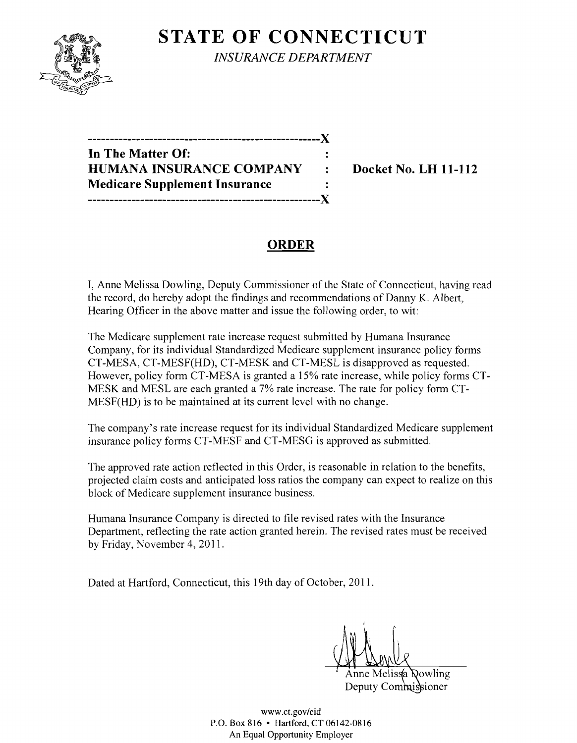

**STATE OF CONNECTICUT** *INSURANCE DEPARTMENT* 

| -----------------------------------X |  |
|--------------------------------------|--|
| In The Matter Of:                    |  |
| HUMANA INSURANCE COMPANY             |  |
| <b>Medicare Supplement Insurance</b> |  |
|                                      |  |

**Docket No. LH 11-112** 

## **ORDER**

I, Anne Melissa Dowling, Deputy Commissioner of the State of Connecticut, having read the record, do hereby adopt the findings and recommendations of Danny K. Albert, Hearing Officer in the above matter and issue the following order, to wit:

The Medicare supplement rate increase request submitted by Humana Insurance Company, for its individual Standardized Medicare supplement insurance policy forms CT-MESA, CT-MESF(HD), CT-MESK and CT-MESL is disapproved as requested. However, policy form CT-MESA is granted a 15% rate increase, while policy forms CT-MESK and MESL are each granted a 7% rate increase. The rate for policy form CT-MESF(HD) is to be maintained at its current level with no change.

The company's rate increase request for its individual Standardized Medicare supplement insurance policy forms CT-MESF and CT-MESG is approved as submitted.

The approved rate action reflected in this Order, is reasonable in relation to the benefits, projected claim costs and anticipated loss ratios the company can expect to realize on this block of Medicare supplement insurance business.

Humana Insurance Company is directed to file revised rates with the Insurance Department, reflecting the rate action granted herein. The revised rates must be received by Friday, November 4,2011.

Dated at Hartford, Connecticut, this 19th day of October, 2011.

Anne Melissa Qowling Deputy Commissioner

www.ct.gov/cid P.o. Box 816 • Hartford, CT 06142-0816 An Equal Opportunity Employer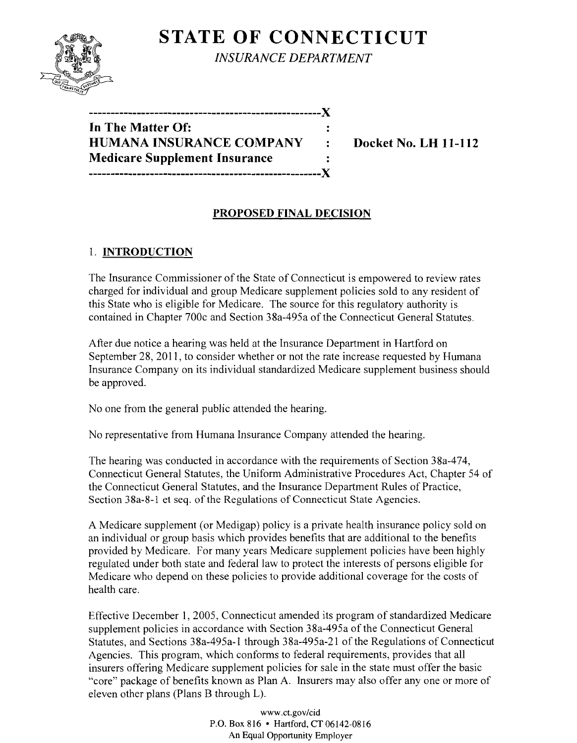# **STATE OF CONNECTICUT**



*INSURANCE DEPARTMENT* 

**In The Matter Of: HUMANA INSURANCE COMPANY : Docket No. LH 11-112 Medicare Supplement Insurance -----------------------------------------------------)(** 

**-----------------------------------------------------)(** 

#### **PROPOSED FINAL DECISION**

## 1. **INTRODUCTION**

The Insurance Commissioner of the State of Connecticut is empowered to review rates charged for individual and group Medicare supplement policies sold to any resident of this State who is eligible for Medicare. The source for this regulatory authority is contained in Chapter 700c and Section 38a-495a of the Connecticut General Statutes.

After due notice a hearing was held at the Insurance Department in Hartford on September 28, 2011, to consider whether or not the rate increase requested by Humana Insurance Company on its individual standardized Medicare supplement business should be approved.

No one from the general public attended the hearing.

No representative from Humana Insurance Company attended the hearing.

The hearing was conducted in accordance with the requirements of Section 38a-474, Connecticut General Statutes, the Uniform Administrative Procedures Act, Chapter 54 of the Connecticut General Statutes, and the Insurance Department Rules of Practice, Section 38a-8-1 et seq. of the Regulations of Connecticut State Agencies.

A Medicare supplement (or Medigap) policy is a private health insurance policy sold on an individual or group basis which provides benefits that are additional to the benefits provided by Medicare. For many years Medicare supplement policies have been highly regulated under both state and federal law to protect the interests of persons eligible for Medicare who depend on these policies to provide additional coverage for the costs of health care.

Effective December 1, 2005, Connecticut amended its program of standardized Medicare supplement policies in accordance with Section 38a-495a of the Connecticut General Statutes, and Sections 38a-495a-l through 38a-495a-21 of the Regulations of Connecticut Agencies. This program, which conforms to federal requirements, provides that all insurers offering Medicare supplement policies for sale in the state must offer the basic "core" package of benefits known as Plan A. Insurers may also offer anyone or more of eleven other plans (Plans B through L).

> www.ct.gov/cid P.O. Box 816 • Hartford, CT 06142-0816 An Equal Opportunity Employer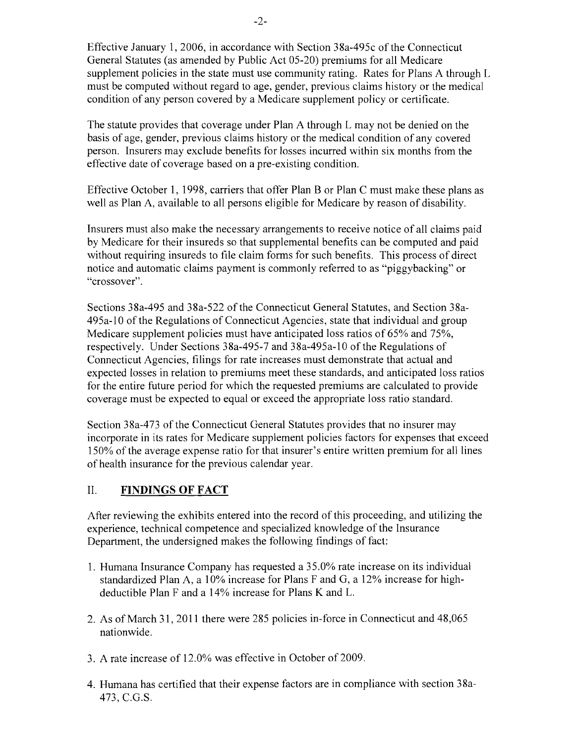Effective January 1,2006, in accordance with Section 38a-495c ofthe Connecticut General Statutes (as amended by Public Act 05-20) premiums for all Medicare supplement policies in the state must use community rating. Rates for Plans A through L must be computed without regard to age, gender, previous claims history or the medical condition of any person covered by a Medicare supplement policy or certificate.

The statute provides that coverage under Plan A through L may not be denied on the basis of age, gender, previous claims history or the medical condition of any covered person. Insurers may exclude benefits for losses incurred within six months from the effective date of coverage based on a pre-existing condition.

Effective October 1, 1998, carriers that offer Plan B or Plan C must make these plans as well as Plan A, available to all persons eligible for Medicare by reason of disability.

Insurers must also make the necessary arrangements to receive notice of all claims paid by Medicare for their insureds so that supplemental benefits can be computed and paid without requiring insureds to file claim forms for such benefits. This process of direct notice and automatic claims payment is commonly referred to as "piggybacking" or "crossover".

Sections 38a-495 and 38a-522 of the Connecticut General Statutes, and Section 38a-495a-IO of the Regulations of Connecticut Agencies, state that individual and group Medicare supplement policies must have anticipated loss ratios of 65% and 75%, respectively. Under Sections 38a-495-7 and 38a-495a-10 of the Regulations of Connecticut Agencies, filings for rate increases must demonstrate that actual and expected losses in relation to premiums meet these standards, and anticipated loss ratios for the entire future period for which the requested premiums are calculated to provide coverage must be expected to equal or exceed the appropriate loss ratio standard.

Section 38a-473 of the Connecticut General Statutes provides that no insurer may incorporate in its rates for Medicare supplement policies factors for expenses that exceed 150% of the average expense ratio for that insurer's entire written premium for all lines of health insurance for the previous calendar year.

#### II. **FINDINGS OF FACT**

After reviewing the exhibits entered into the record of this proceeding, and utilizing the experience, technical competence and specialized knowledge of the Insurance Department, the undersigned makes the following findings of fact:

- 1. Humana Insurance Company has requested a 35.0% rate increase on its individual standardized Plan A, a 10% increase for Plans F and G, a 12% increase for highdeductible Plan F and a 14% increase for Plans K and L.
- 2. As of March 31, 2011 there were 285 policies in-force in Connecticut and 48,065 nationwide.
- 3. A rate increase of 12.0% was effective in October of 2009.
- 4. Humana has certified that their expense factors are in compliance with section 38a-473, e.G.S.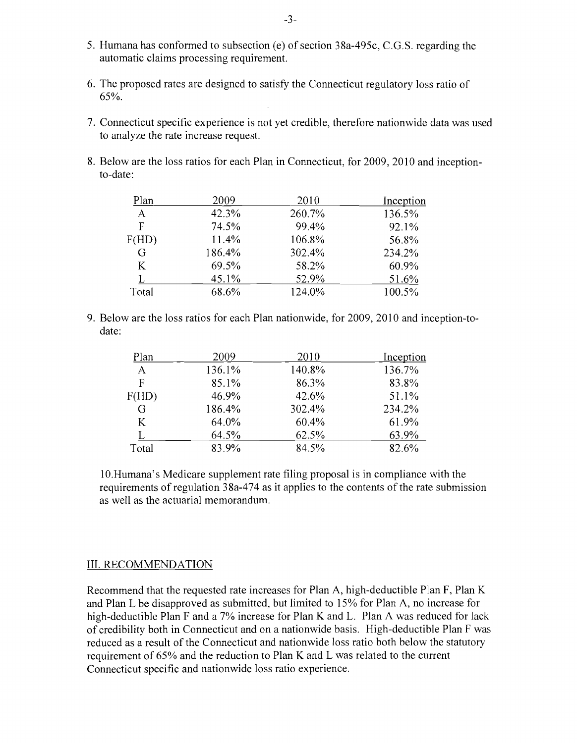- 5. Humana has conformed to subsection (e) of section 38a-495c, C.G.S. regarding the automatic claims processing requirement.
- 6. The proposed rates are designed to satisfy the Connecticut regulatory loss ratio of 65%.
- 7. Connecticut specific experience is not yet credible, therefore nationwide data was used to analyze the rate increase request.
- 8. Below are the loss ratios for each Plan in Connecticut, for 2009, 2010 and inceptionto-date:

| Plan  | 2009   | 2010   | Inception |
|-------|--------|--------|-----------|
| A     | 42.3%  | 260.7% | 136.5%    |
| F     | 74.5%  | 99.4%  | 92.1%     |
| F(HD) | 11.4%  | 106.8% | 56.8%     |
| G     | 186.4% | 302.4% | 234.2%    |
| K     | 69.5%  | 58.2%  | 60.9%     |
|       | 45.1%  | 52.9%  | 51.6%     |
| Total | 68.6%  | 124.0% | 100.5%    |

9. Below are the loss ratios for each Plan nationwide, for 2009, 2010 and inception-todate:

| Plan  | 2009   | 2010   | Inception |
|-------|--------|--------|-----------|
| A     | 136.1% | 140.8% | 136.7%    |
| F     | 85.1%  | 86.3%  | 83.8%     |
| F(HD) | 46.9%  | 42.6%  | 51.1%     |
| G     | 186.4% | 302.4% | 234.2%    |
| K     | 64.0%  | 60.4%  | 61.9%     |
|       | 64.5%  | 62.5%  | 63.9%     |
| Total | 83.9%  | 84.5%  | 82.6%     |

1O.Humana's Medicare supplement rate filing proposal is in compliance with the requirements of regulation 38a-474 as it applies to the contents of the rate submission as well as the actuarial memorandum.

#### III. RECOMMENDATION

Recommend that the requested rate increases for Plan A, high-deductible Plan F, Plan K and Plan L be disapproved as submitted, but limited to 15% for Plan A, no increase for high-deductible Plan F and a  $7\%$  increase for Plan K and L. Plan A was reduced for lack of credibility both in Connecticut and on a nationwide basis. High-deductible Plan F was reduced as a result of the Connecticut and nationwide loss ratio both below the statutory requirement of 65% and the reduction to Plan K and L was related to the current Connecticut specific and nationwide loss ratio experience.